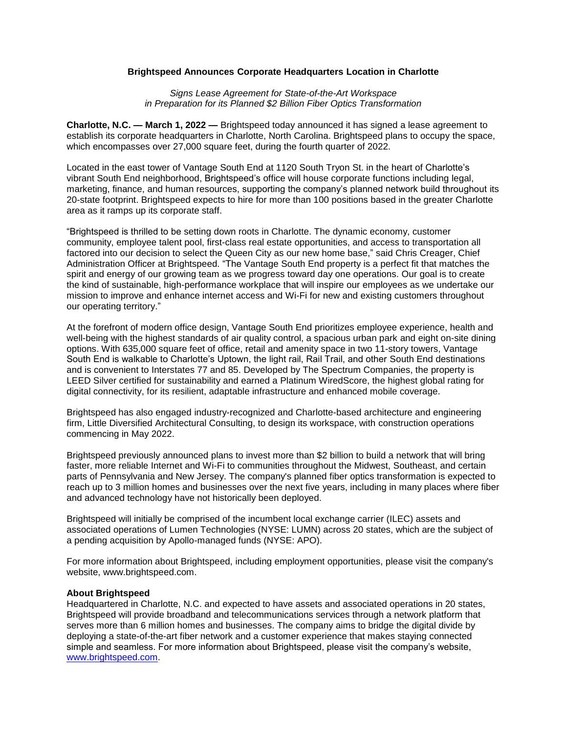## **Brightspeed Announces Corporate Headquarters Location in Charlotte**

*Signs Lease Agreement for State-of-the-Art Workspace in Preparation for its Planned \$2 Billion Fiber Optics Transformation*

**Charlotte, N.C. — March 1, 2022 —** Brightspeed today announced it has signed a lease agreement to establish its corporate headquarters in Charlotte, North Carolina. Brightspeed plans to occupy the space, which encompasses over 27,000 square feet, during the fourth quarter of 2022.

Located in the east tower of Vantage South End at 1120 South Tryon St. in the heart of Charlotte's vibrant South End neighborhood, Brightspeed's office will house corporate functions including legal, marketing, finance, and human resources, supporting the company's planned network build throughout its 20-state footprint. Brightspeed expects to hire for more than 100 positions based in the greater Charlotte area as it ramps up its corporate staff.

"Brightspeed is thrilled to be setting down roots in Charlotte. The dynamic economy, customer community, employee talent pool, first-class real estate opportunities, and access to transportation all factored into our decision to select the Queen City as our new home base," said Chris Creager, Chief Administration Officer at Brightspeed. "The Vantage South End property is a perfect fit that matches the spirit and energy of our growing team as we progress toward day one operations. Our goal is to create the kind of sustainable, high-performance workplace that will inspire our employees as we undertake our mission to improve and enhance internet access and Wi-Fi for new and existing customers throughout our operating territory."

At the forefront of modern office design, Vantage South End prioritizes employee experience, health and well-being with the highest standards of air quality control, a spacious urban park and eight on-site dining options. With 635,000 square feet of office, retail and amenity space in two 11-story towers, Vantage South End is walkable to Charlotte's Uptown, the light rail, Rail Trail, and other South End destinations and is convenient to Interstates 77 and 85. Developed by The Spectrum Companies, the property is LEED Silver certified for sustainability and earned a Platinum WiredScore, the highest global rating for digital connectivity, for its resilient, adaptable infrastructure and enhanced mobile coverage.

Brightspeed has also engaged industry-recognized and Charlotte-based architecture and engineering firm, Little Diversified Architectural Consulting, to design its workspace, with construction operations commencing in May 2022.

Brightspeed previously announced plans to invest more than \$2 billion to build a network that will bring faster, more reliable Internet and Wi-Fi to communities throughout the Midwest, Southeast, and certain parts of Pennsylvania and New Jersey. The company's planned fiber optics transformation is expected to reach up to 3 million homes and businesses over the next five years, including in many places where fiber and advanced technology have not historically been deployed.

Brightspeed will initially be comprised of the incumbent local exchange carrier (ILEC) assets and associated operations of Lumen Technologies (NYSE: LUMN) across 20 states, which are the subject of a pending acquisition by Apollo-managed funds (NYSE: APO).

For more information about Brightspeed, including employment opportunities, please visit the company's website, www.brightspeed.com.

## **About Brightspeed**

Headquartered in Charlotte, N.C. and expected to have assets and associated operations in 20 states, Brightspeed will provide broadband and telecommunications services through a network platform that serves more than 6 million homes and businesses. The company aims to bridge the digital divide by deploying a state-of-the-art fiber network and a customer experience that makes staying connected simple and seamless. For more information about Brightspeed, please visit the company's website, [www.brightspeed.com.](http://www.brightspeed.com/)